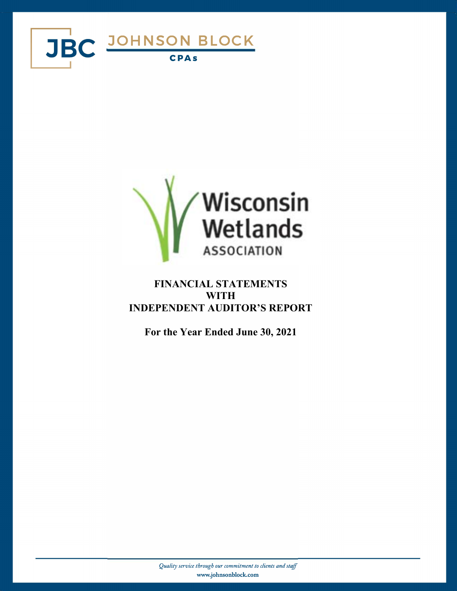



# **FINANCIAL STATEMENTS WITH INDEPENDENT AUDITOR'S REPORT**

**For the Year Ended June 30, 2021**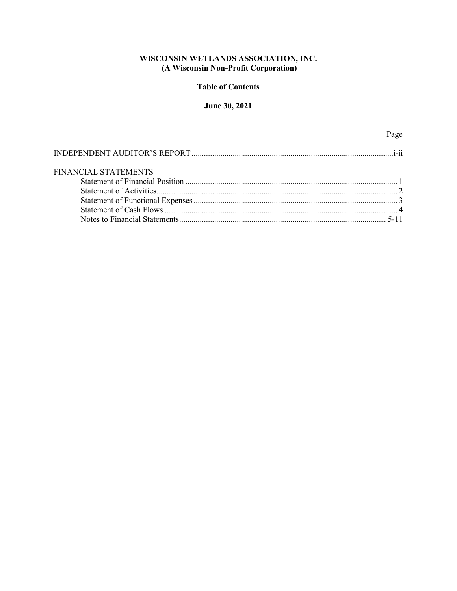## WISCONSIN WETLANDS ASSOCIATION, INC. (A Wisconsin Non-Profit Corporation)

## **Table of Contents**

## June 30, 2021

|                      | Page |
|----------------------|------|
|                      |      |
| FINANCIAL STATEMENTS |      |
|                      |      |
|                      |      |
|                      |      |
|                      |      |
|                      |      |
|                      |      |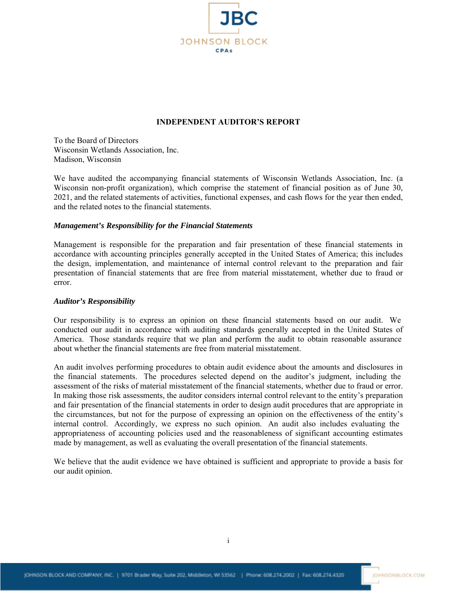

#### **INDEPENDENT AUDITOR'S REPORT**

To the Board of Directors Wisconsin Wetlands Association, Inc. Madison, Wisconsin

We have audited the accompanying financial statements of Wisconsin Wetlands Association, Inc. (a Wisconsin non-profit organization), which comprise the statement of financial position as of June 30, 2021, and the related statements of activities, functional expenses, and cash flows for the year then ended, and the related notes to the financial statements.

#### *Management's Responsibility for the Financial Statements*

Management is responsible for the preparation and fair presentation of these financial statements in accordance with accounting principles generally accepted in the United States of America; this includes the design, implementation, and maintenance of internal control relevant to the preparation and fair presentation of financial statements that are free from material misstatement, whether due to fraud or error.

#### *Auditor's Responsibility*

Our responsibility is to express an opinion on these financial statements based on our audit. We conducted our audit in accordance with auditing standards generally accepted in the United States of America. Those standards require that we plan and perform the audit to obtain reasonable assurance about whether the financial statements are free from material misstatement.

An audit involves performing procedures to obtain audit evidence about the amounts and disclosures in the financial statements. The procedures selected depend on the auditor's judgment, including the assessment of the risks of material misstatement of the financial statements, whether due to fraud or error. In making those risk assessments, the auditor considers internal control relevant to the entity's preparation and fair presentation of the financial statements in order to design audit procedures that are appropriate in the circumstances, but not for the purpose of expressing an opinion on the effectiveness of the entity's internal control. Accordingly, we express no such opinion. An audit also includes evaluating the appropriateness of accounting policies used and the reasonableness of significant accounting estimates made by management, as well as evaluating the overall presentation of the financial statements.

We believe that the audit evidence we have obtained is sufficient and appropriate to provide a basis for our audit opinion.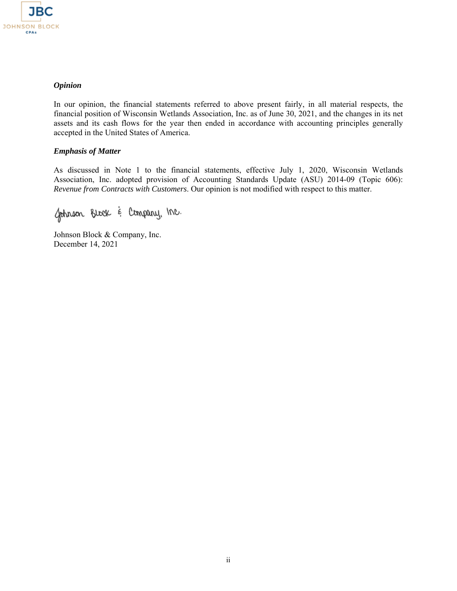

#### *Opinion*

In our opinion, the financial statements referred to above present fairly, in all material respects, the financial position of Wisconsin Wetlands Association, Inc. as of June 30, 2021, and the changes in its net assets and its cash flows for the year then ended in accordance with accounting principles generally accepted in the United States of America.

## *Emphasis of Matter*

As discussed in Note 1 to the financial statements, effective July 1, 2020, Wisconsin Wetlands Association, Inc. adopted provision of Accounting Standards Update (ASU) 2014-09 (Topic 606): *Revenue from Contracts with Customers*. Our opinion is not modified with respect to this matter.

Johnson Block & Company, Inc.

Johnson Block & Company, Inc. December 14, 2021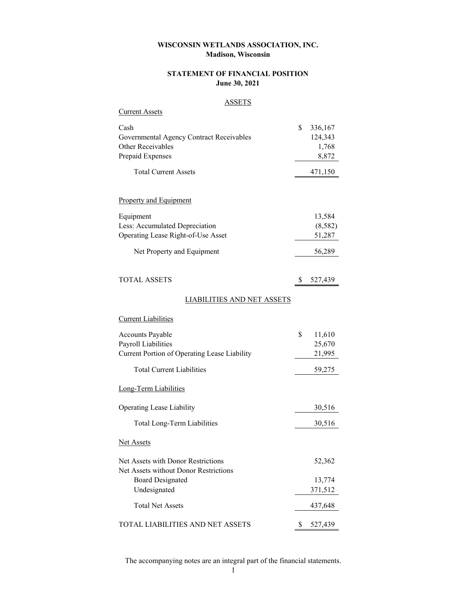#### **June 30, 2021 STATEMENT OF FINANCIAL POSITION**

## **ASSETS**

| <b>Current Assets</b>                                                                          |    |                                      |
|------------------------------------------------------------------------------------------------|----|--------------------------------------|
| Cash<br>Governmental Agency Contract Receivables<br>Other Receivables<br>Prepaid Expenses      | \$ | 336,167<br>124,343<br>1,768<br>8,872 |
| <b>Total Current Assets</b>                                                                    |    | 471,150                              |
| <b>Property and Equipment</b>                                                                  |    |                                      |
| Equipment                                                                                      |    | 13,584                               |
| Less: Accumulated Depreciation                                                                 |    | (8,582)                              |
| Operating Lease Right-of-Use Asset                                                             |    | 51,287                               |
| Net Property and Equipment                                                                     |    | 56,289                               |
| <b>TOTAL ASSETS</b>                                                                            | S. | 527,439                              |
|                                                                                                |    |                                      |
| <b>LIABILITIES AND NET ASSETS</b>                                                              |    |                                      |
| <b>Current Liabilities</b>                                                                     |    |                                      |
| <b>Accounts Payable</b><br>Payroll Liabilities<br>Current Portion of Operating Lease Liability | \$ | 11,610<br>25,670<br>21,995           |
| <b>Total Current Liabilities</b>                                                               |    | 59,275                               |
| Long-Term Liabilities                                                                          |    |                                      |
| <b>Operating Lease Liability</b>                                                               |    | 30,516                               |
| Total Long-Term Liabilities                                                                    |    | 30,516                               |
| Net Assets                                                                                     |    |                                      |
| Net Assets with Donor Restrictions<br>Net Assets without Donor Restrictions                    |    | 52,362                               |
| <b>Board Designated</b>                                                                        |    | 13,774                               |
| Undesignated                                                                                   |    | 371,512                              |
| <b>Total Net Assets</b>                                                                        |    | 437,648                              |
| TOTAL LIABILITIES AND NET ASSETS                                                               | \$ | 527,439                              |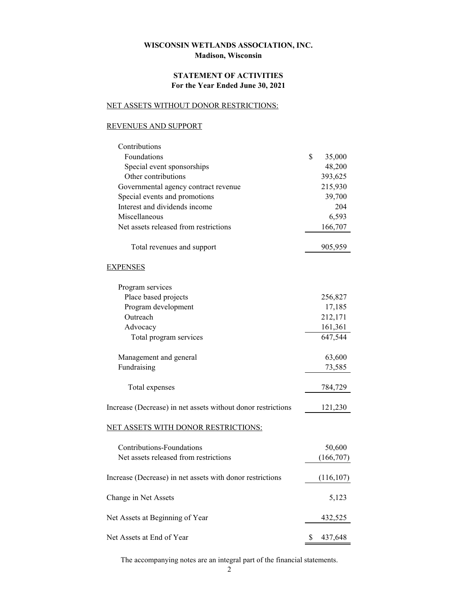## **STATEMENT OF ACTIVITIES For the Year Ended June 30, 2021**

## NET ASSETS WITHOUT DONOR RESTRICTIONS:

#### REVENUES AND SUPPORT

| Contributions                                                |               |
|--------------------------------------------------------------|---------------|
| Foundations                                                  | \$<br>35,000  |
| Special event sponsorships                                   | 48,200        |
| Other contributions                                          | 393,625       |
| Governmental agency contract revenue                         | 215,930       |
| Special events and promotions                                | 39,700        |
| Interest and dividends income                                | 204           |
| Miscellaneous                                                | 6,593         |
| Net assets released from restrictions                        | 166,707       |
| Total revenues and support                                   | 905,959       |
| <b>EXPENSES</b>                                              |               |
| Program services                                             |               |
| Place based projects                                         | 256,827       |
| Program development                                          | 17,185        |
| Outreach                                                     | 212,171       |
| Advocacy                                                     | 161,361       |
| Total program services                                       | 647,544       |
| Management and general                                       | 63,600        |
| Fundraising                                                  | 73,585        |
| Total expenses                                               | 784,729       |
| Increase (Decrease) in net assets without donor restrictions | 121,230       |
| <b>NET ASSETS WITH DONOR RESTRICTIONS:</b>                   |               |
| Contributions-Foundations                                    | 50,600        |
| Net assets released from restrictions                        | (166,707)     |
| Increase (Decrease) in net assets with donor restrictions    | (116, 107)    |
| Change in Net Assets                                         | 5,123         |
| Net Assets at Beginning of Year                              | 432,525       |
| Net Assets at End of Year                                    | \$<br>437,648 |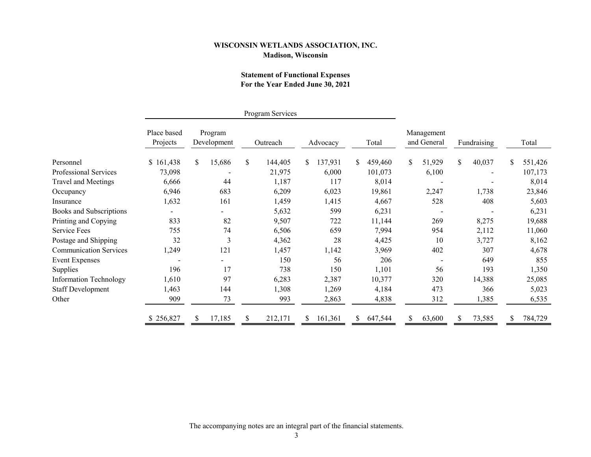## **Statement of Functional Expenses For the Year Ended June 30, 2021**

|                               | Program Services        |                        |               |               |               |                           |                          |               |
|-------------------------------|-------------------------|------------------------|---------------|---------------|---------------|---------------------------|--------------------------|---------------|
|                               | Place based<br>Projects | Program<br>Development | Outreach      | Advocacy      | Total         | Management<br>and General | Fundraising              | Total         |
| Personnel                     | \$161,438               | \$.<br>15,686          | \$<br>144,405 | S.<br>137,931 | \$<br>459,460 | \$<br>51,929              | \$<br>40,037             | \$<br>551,426 |
| Professional Services         | 73,098                  |                        | 21,975        | 6,000         | 101,073       | 6,100                     | $\overline{\phantom{a}}$ | 107,173       |
| <b>Travel and Meetings</b>    | 6,666                   | 44                     | 1,187         | 117           | 8,014         |                           |                          | 8,014         |
| Occupancy                     | 6,946                   | 683                    | 6,209         | 6,023         | 19,861        | 2,247                     | 1,738                    | 23,846        |
| Insurance                     | 1,632                   | 161                    | 1,459         | 1,415         | 4,667         | 528                       | 408                      | 5,603         |
| Books and Subscriptions       |                         |                        | 5,632         | 599           | 6,231         |                           |                          | 6,231         |
| Printing and Copying          | 833                     | 82                     | 9,507         | 722           | 11,144        | 269                       | 8,275                    | 19,688        |
| Service Fees                  | 755                     | 74                     | 6,506         | 659           | 7,994         | 954                       | 2,112                    | 11,060        |
| Postage and Shipping          | 32                      | $\overline{3}$         | 4,362         | 28            | 4,425         | 10                        | 3,727                    | 8,162         |
| <b>Communication Services</b> | 1,249                   | 121                    | 1,457         | 1,142         | 3,969         | 402                       | 307                      | 4,678         |
| <b>Event Expenses</b>         |                         |                        | 150           | 56            | 206           |                           | 649                      | 855           |
| Supplies                      | 196                     | 17                     | 738           | 150           | 1,101         | 56                        | 193                      | 1,350         |
| <b>Information Technology</b> | 1,610                   | 97                     | 6,283         | 2,387         | 10,377        | 320                       | 14,388                   | 25,085        |
| <b>Staff Development</b>      | 1,463                   | 144                    | 1,308         | 1,269         | 4,184         | 473                       | 366                      | 5,023         |
| Other                         | 909                     | 73                     | 993           | 2,863         | 4,838         | 312                       | 1,385                    | 6,535         |
|                               | \$256,827               | 17,185<br>S            | 212,171       | 161,361       | 647,544<br>\$ | 63,600<br>\$.             | 73,585                   | 784,729       |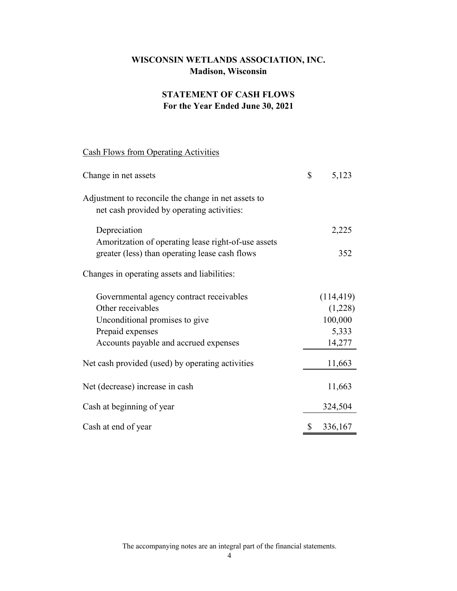## **For the Year Ended June 30, 2021 STATEMENT OF CASH FLOWS**

## Cash Flows from Operating Activities

| Change in net assets                                                                                  | \$<br>5,123   |
|-------------------------------------------------------------------------------------------------------|---------------|
| Adjustment to reconcile the change in net assets to<br>net cash provided by operating activities:     |               |
| Depreciation                                                                                          | 2,225         |
| Amoritzation of operating lease right-of-use assets<br>greater (less) than operating lease cash flows | 352           |
| Changes in operating assets and liabilities:                                                          |               |
| Governmental agency contract receivables                                                              | (114, 419)    |
| Other receivables                                                                                     | (1,228)       |
| Unconditional promises to give                                                                        | 100,000       |
| Prepaid expenses                                                                                      | 5,333         |
| Accounts payable and accrued expenses                                                                 | 14,277        |
| Net cash provided (used) by operating activities                                                      | 11,663        |
| Net (decrease) increase in cash                                                                       | 11,663        |
| Cash at beginning of year                                                                             | 324,504       |
| Cash at end of year                                                                                   | \$<br>336,167 |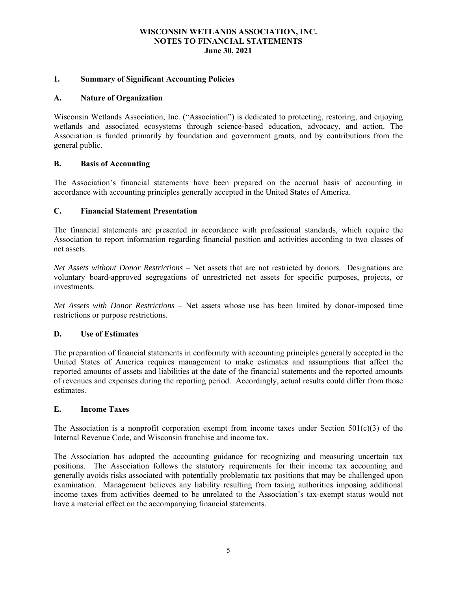### **1. Summary of Significant Accounting Policies**

#### **A. Nature of Organization**

Wisconsin Wetlands Association, Inc. ("Association") is dedicated to protecting, restoring, and enjoying wetlands and associated ecosystems through science-based education, advocacy, and action. The Association is funded primarily by foundation and government grants, and by contributions from the general public.

#### **B. Basis of Accounting**

The Association's financial statements have been prepared on the accrual basis of accounting in accordance with accounting principles generally accepted in the United States of America.

#### **C. Financial Statement Presentation**

The financial statements are presented in accordance with professional standards, which require the Association to report information regarding financial position and activities according to two classes of net assets:

*Net Assets without Donor Restrictions* – Net assets that are not restricted by donors. Designations are voluntary board-approved segregations of unrestricted net assets for specific purposes, projects, or investments.

*Net Assets with Donor Restrictions* – Net assets whose use has been limited by donor-imposed time restrictions or purpose restrictions.

#### **D. Use of Estimates**

The preparation of financial statements in conformity with accounting principles generally accepted in the United States of America requires management to make estimates and assumptions that affect the reported amounts of assets and liabilities at the date of the financial statements and the reported amounts of revenues and expenses during the reporting period. Accordingly, actual results could differ from those estimates.

## **E. Income Taxes**

The Association is a nonprofit corporation exempt from income taxes under Section  $501(c)(3)$  of the Internal Revenue Code, and Wisconsin franchise and income tax.

The Association has adopted the accounting guidance for recognizing and measuring uncertain tax positions. The Association follows the statutory requirements for their income tax accounting and generally avoids risks associated with potentially problematic tax positions that may be challenged upon examination. Management believes any liability resulting from taxing authorities imposing additional income taxes from activities deemed to be unrelated to the Association's tax-exempt status would not have a material effect on the accompanying financial statements.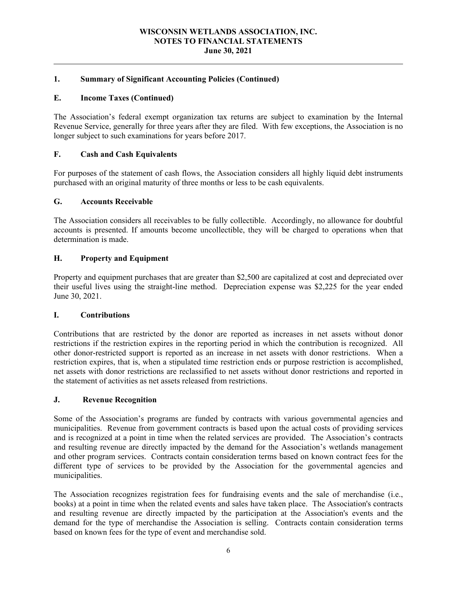## **1. Summary of Significant Accounting Policies (Continued)**

## **E. Income Taxes (Continued)**

The Association's federal exempt organization tax returns are subject to examination by the Internal Revenue Service, generally for three years after they are filed. With few exceptions, the Association is no longer subject to such examinations for years before 2017.

## **F. Cash and Cash Equivalents**

For purposes of the statement of cash flows, the Association considers all highly liquid debt instruments purchased with an original maturity of three months or less to be cash equivalents.

## **G. Accounts Receivable**

The Association considers all receivables to be fully collectible. Accordingly, no allowance for doubtful accounts is presented. If amounts become uncollectible, they will be charged to operations when that determination is made.

## **H. Property and Equipment**

Property and equipment purchases that are greater than \$2,500 are capitalized at cost and depreciated over their useful lives using the straight-line method. Depreciation expense was \$2,225 for the year ended June 30, 2021.

#### **I. Contributions**

Contributions that are restricted by the donor are reported as increases in net assets without donor restrictions if the restriction expires in the reporting period in which the contribution is recognized. All other donor-restricted support is reported as an increase in net assets with donor restrictions. When a restriction expires, that is, when a stipulated time restriction ends or purpose restriction is accomplished, net assets with donor restrictions are reclassified to net assets without donor restrictions and reported in the statement of activities as net assets released from restrictions.

## **J. Revenue Recognition**

Some of the Association's programs are funded by contracts with various governmental agencies and municipalities. Revenue from government contracts is based upon the actual costs of providing services and is recognized at a point in time when the related services are provided. The Association's contracts and resulting revenue are directly impacted by the demand for the Association's wetlands management and other program services. Contracts contain consideration terms based on known contract fees for the different type of services to be provided by the Association for the governmental agencies and municipalities.

The Association recognizes registration fees for fundraising events and the sale of merchandise (i.e., books) at a point in time when the related events and sales have taken place. The Association's contracts and resulting revenue are directly impacted by the participation at the Association's events and the demand for the type of merchandise the Association is selling. Contracts contain consideration terms based on known fees for the type of event and merchandise sold.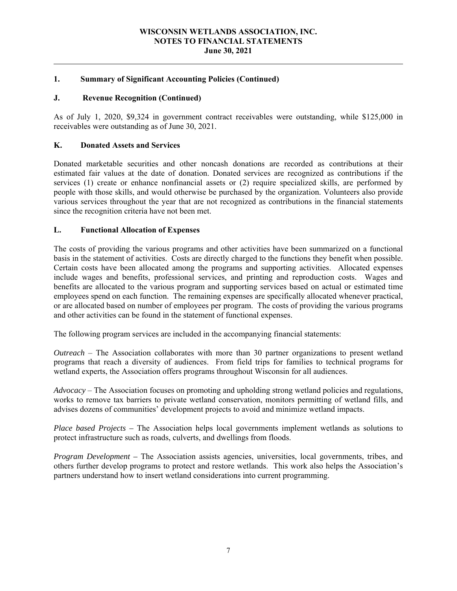## **1. Summary of Significant Accounting Policies (Continued)**

## **J. Revenue Recognition (Continued)**

As of July 1, 2020, \$9,324 in government contract receivables were outstanding, while \$125,000 in receivables were outstanding as of June 30, 2021.

## **K. Donated Assets and Services**

Donated marketable securities and other noncash donations are recorded as contributions at their estimated fair values at the date of donation. Donated services are recognized as contributions if the services (1) create or enhance nonfinancial assets or (2) require specialized skills, are performed by people with those skills, and would otherwise be purchased by the organization. Volunteers also provide various services throughout the year that are not recognized as contributions in the financial statements since the recognition criteria have not been met.

## **L. Functional Allocation of Expenses**

The costs of providing the various programs and other activities have been summarized on a functional basis in the statement of activities. Costs are directly charged to the functions they benefit when possible. Certain costs have been allocated among the programs and supporting activities. Allocated expenses include wages and benefits, professional services, and printing and reproduction costs. Wages and benefits are allocated to the various program and supporting services based on actual or estimated time employees spend on each function. The remaining expenses are specifically allocated whenever practical, or are allocated based on number of employees per program. The costs of providing the various programs and other activities can be found in the statement of functional expenses.

The following program services are included in the accompanying financial statements:

*Outreach* – The Association collaborates with more than 30 partner organizations to present wetland programs that reach a diversity of audiences. From field trips for families to technical programs for wetland experts, the Association offers programs throughout Wisconsin for all audiences.

*Advocacy* – The Association focuses on promoting and upholding strong wetland policies and regulations, works to remove tax barriers to private wetland conservation, monitors permitting of wetland fills, and advises dozens of communities' development projects to avoid and minimize wetland impacts.

*Place based Projects –* The Association helps local governments implement wetlands as solutions to protect infrastructure such as roads, culverts, and dwellings from floods.

*Program Development – The Association assists agencies, universities, local governments, tribes, and* others further develop programs to protect and restore wetlands. This work also helps the Association's partners understand how to insert wetland considerations into current programming.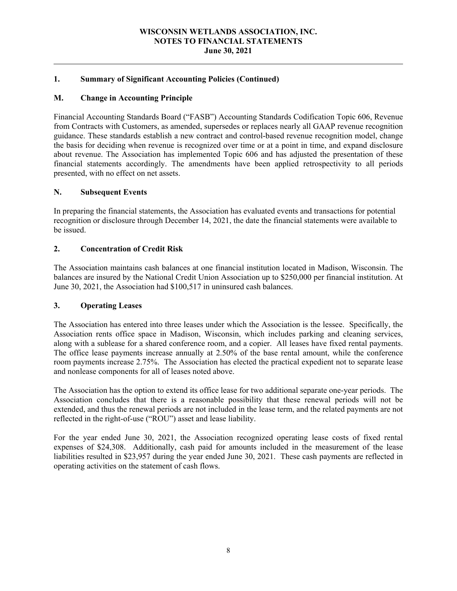## **1. Summary of Significant Accounting Policies (Continued)**

## **M. Change in Accounting Principle**

Financial Accounting Standards Board ("FASB") Accounting Standards Codification Topic 606, Revenue from Contracts with Customers, as amended, supersedes or replaces nearly all GAAP revenue recognition guidance. These standards establish a new contract and control-based revenue recognition model, change the basis for deciding when revenue is recognized over time or at a point in time, and expand disclosure about revenue. The Association has implemented Topic 606 and has adjusted the presentation of these financial statements accordingly. The amendments have been applied retrospectivity to all periods presented, with no effect on net assets.

#### **N. Subsequent Events**

In preparing the financial statements, the Association has evaluated events and transactions for potential recognition or disclosure through December 14, 2021, the date the financial statements were available to be issued.

#### **2. Concentration of Credit Risk**

The Association maintains cash balances at one financial institution located in Madison, Wisconsin. The balances are insured by the National Credit Union Association up to \$250,000 per financial institution. At June 30, 2021, the Association had \$100,517 in uninsured cash balances.

## **3. Operating Leases**

The Association has entered into three leases under which the Association is the lessee. Specifically, the Association rents office space in Madison, Wisconsin, which includes parking and cleaning services, along with a sublease for a shared conference room, and a copier. All leases have fixed rental payments. The office lease payments increase annually at 2.50% of the base rental amount, while the conference room payments increase 2.75%. The Association has elected the practical expedient not to separate lease and nonlease components for all of leases noted above.

The Association has the option to extend its office lease for two additional separate one-year periods. The Association concludes that there is a reasonable possibility that these renewal periods will not be extended, and thus the renewal periods are not included in the lease term, and the related payments are not reflected in the right-of-use ("ROU") asset and lease liability.

For the year ended June 30, 2021, the Association recognized operating lease costs of fixed rental expenses of \$24,308. Additionally, cash paid for amounts included in the measurement of the lease liabilities resulted in \$23,957 during the year ended June 30, 2021. These cash payments are reflected in operating activities on the statement of cash flows.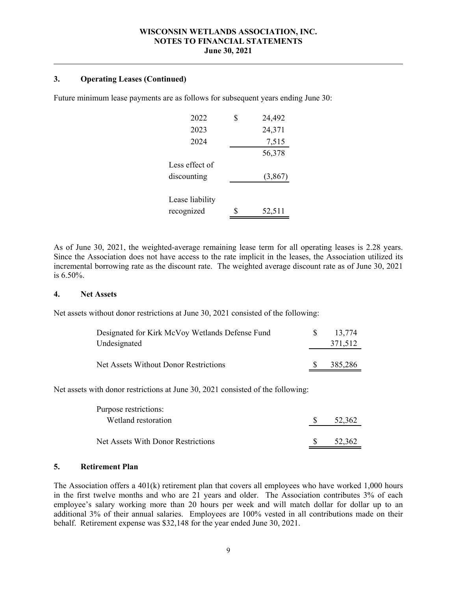## **3. Operating Leases (Continued)**

Future minimum lease payments are as follows for subsequent years ending June 30:

| 2022            | \$<br>24,492 |
|-----------------|--------------|
| 2023            | 24,371       |
| 2024            | 7,515        |
|                 | 56,378       |
| Less effect of  |              |
| discounting     | (3,867)      |
|                 |              |
| Lease liability |              |
| recognized      | \$<br>52,511 |

As of June 30, 2021, the weighted-average remaining lease term for all operating leases is 2.28 years. Since the Association does not have access to the rate implicit in the leases, the Association utilized its incremental borrowing rate as the discount rate. The weighted average discount rate as of June 30, 2021 is 6.50%.

#### **4. Net Assets**

Net assets without donor restrictions at June 30, 2021 consisted of the following:

| Designated for Kirk McVoy Wetlands Defense Fund |     | 13.774  |
|-------------------------------------------------|-----|---------|
| Undesignated                                    |     | 371,512 |
|                                                 |     |         |
| Net Assets Without Donor Restrictions           | SS. | 385,286 |

Net assets with donor restrictions at June 30, 2021 consisted of the following:

| Purpose restrictions:              |        |
|------------------------------------|--------|
| Wetland restoration                | 52.362 |
| Net Assets With Donor Restrictions | 52.362 |
|                                    |        |

#### **5. Retirement Plan**

The Association offers a 401(k) retirement plan that covers all employees who have worked 1,000 hours in the first twelve months and who are 21 years and older. The Association contributes 3% of each employee's salary working more than 20 hours per week and will match dollar for dollar up to an additional 3% of their annual salaries. Employees are 100% vested in all contributions made on their behalf. Retirement expense was \$32,148 for the year ended June 30, 2021.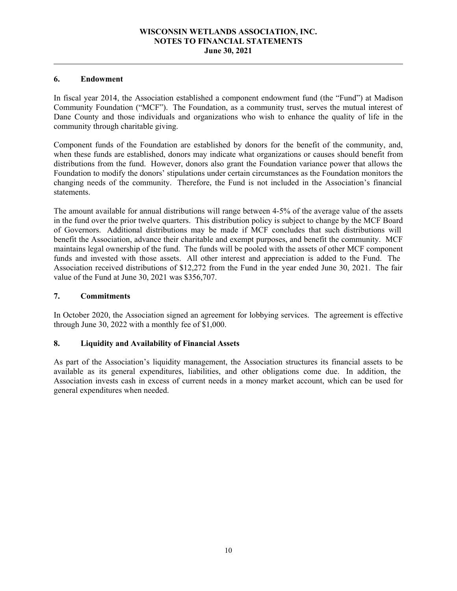### **6. Endowment**

In fiscal year 2014, the Association established a component endowment fund (the "Fund") at Madison Community Foundation ("MCF"). The Foundation, as a community trust, serves the mutual interest of Dane County and those individuals and organizations who wish to enhance the quality of life in the community through charitable giving.

Component funds of the Foundation are established by donors for the benefit of the community, and, when these funds are established, donors may indicate what organizations or causes should benefit from distributions from the fund. However, donors also grant the Foundation variance power that allows the Foundation to modify the donors' stipulations under certain circumstances as the Foundation monitors the changing needs of the community. Therefore, the Fund is not included in the Association's financial statements.

The amount available for annual distributions will range between 4-5% of the average value of the assets in the fund over the prior twelve quarters. This distribution policy is subject to change by the MCF Board of Governors. Additional distributions may be made if MCF concludes that such distributions will benefit the Association, advance their charitable and exempt purposes, and benefit the community. MCF maintains legal ownership of the fund. The funds will be pooled with the assets of other MCF component funds and invested with those assets. All other interest and appreciation is added to the Fund. The Association received distributions of \$12,272 from the Fund in the year ended June 30, 2021. The fair value of the Fund at June 30, 2021 was \$356,707.

### **7. Commitments**

In October 2020, the Association signed an agreement for lobbying services. The agreement is effective through June 30, 2022 with a monthly fee of \$1,000.

## **8. Liquidity and Availability of Financial Assets**

As part of the Association's liquidity management, the Association structures its financial assets to be available as its general expenditures, liabilities, and other obligations come due. In addition, the Association invests cash in excess of current needs in a money market account, which can be used for general expenditures when needed.